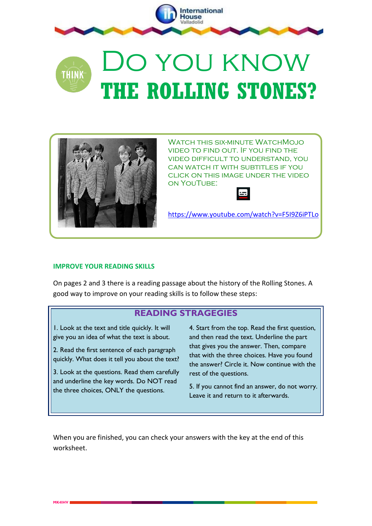

## Do you know **THINK THE ROLLING STONES?**



WATCH THIS SIX-MINI ITF WATCHMOJO video to find out. If you find the video difficult to understand, you can watch it with subtitles if you click on this image under the video on YouTube:



<https://www.youtube.com/watch?v=F5I9Z6iPTLo>

## **IMPROVE YOUR READING SKILLS**

On pages 2 and 3 there is a reading passage about the history of the Rolling Stones. A good way to improve on your reading skills is to follow these steps:

## **READING STRAGEGIES**

1. Look at the text and title quickly. It will give you an idea of what the text is about.

2. Read the first sentence of each paragraph quickly. What does it tell you about the text?

3. Look at the questions. Read them carefully and underline the key words. Do NOT read the three choices, ONLY the questions.

4. Start from the top. Read the first question, and then read the text. Underline the part that gives you the answer. Then, compare that with the three choices. Have you found the answer? Circle it. Now continue with the rest of the questions.

5. If you cannot find an answer, do not worry. Leave it and return to it afterwards.

When you are finished, you can check your answers with the key at the end of this worksheet.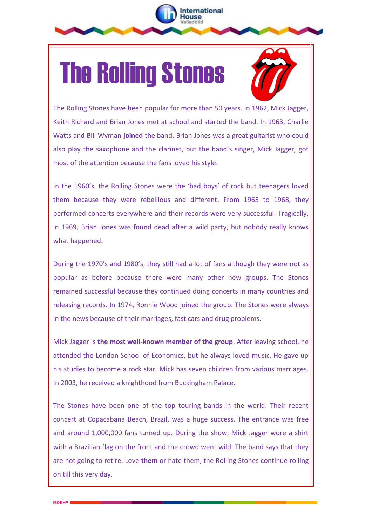



The Rolling Stones have been popular for more than 50 years. In 1962, Mick Jagger, Keith Richard and Brian Jones met at school and started the band. In 1963, Charlie Watts and Bill Wyman **joined** the band. Brian Jones was a great guitarist who could also play the saxophone and the clarinet, but the band's singer, Mick Jagger, got most of the attention because the fans loved his style.

nternational ouse

In the 1960's, the Rolling Stones were the 'bad boys' of rock but teenagers loved them because they were rebellious and different. From 1965 to 1968, they performed concerts everywhere and their records were very successful. Tragically, in 1969, Brian Jones was found dead after a wild party, but nobody really knows what happened.

During the 1970's and 1980's, they still had a lot of fans although they were not as popular as before because there were many other new groups. The Stones remained successful because they continued doing concerts in many countries and releasing records. In 1974, Ronnie Wood joined the group. The Stones were always in the news because of their marriages, fast cars and drug problems.

Mick Jagger is **the most well-known member of the group**. After leaving school, he attended the London School of Economics, but he always loved music. He gave up his studies to become a rock star. Mick has seven children from various marriages. In 2003, he received a knighthood from Buckingham Palace.

The Stones have been one of the top touring bands in the world. Their recent concert at Copacabana Beach, Brazil, was a huge success. The entrance was free and around 1,000,000 fans turned up. During the show, Mick Jagger wore a shirt with a Brazilian flag on the front and the crowd went wild. The band says that they are not going to retire. Love **them** or hate them, the Rolling Stones continue rolling on till this very day.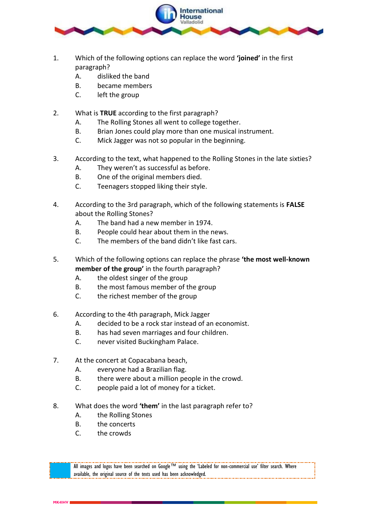

- 1. Which of the following options can replace the word **'joined'** in the first paragraph?
	- A. disliked the band
	- B. became members
	- C. left the group
- 2. What is **TRUE** according to the first paragraph?
	- A. The Rolling Stones all went to college together.
	- B. Brian Jones could play more than one musical instrument.
	- C. Mick Jagger was not so popular in the beginning.
- 3. According to the text, what happened to the Rolling Stones in the late sixties?
	- A. They weren't as successful as before.
	- B. One of the original members died.
	- C. Teenagers stopped liking their style.
- 4. According to the 3rd paragraph, which of the following statements is **FALSE** about the Rolling Stones?
	- A. The band had a new member in 1974.
	- B. People could hear about them in the news.
	- C. The members of the band didn't like fast cars.
- 5. Which of the following options can replace the phrase **'the most well-known member of the group'** in the fourth paragraph?
	- A. the oldest singer of the group
	- B. the most famous member of the group
	- C. the richest member of the group
- 6. According to the 4th paragraph, Mick Jagger
	- A. decided to be a rock star instead of an economist.
	- B. has had seven marriages and four children.
	- C. never visited Buckingham Palace.
- 7. At the concert at Copacabana beach,
	- A. everyone had a Brazilian flag.
	- B. there were about a million people in the crowd.
	- C. people paid a lot of money for a ticket.
- 8. What does the word **'them'** in the last paragraph refer to?
	- A. the Rolling Stones
	- B. the concerts
	- C. the crowds

All images and logos have been searched on Google™ using the 'Labeled for non-commercial use' filter search. Where available, the original source of the texts used has been acknowledged.